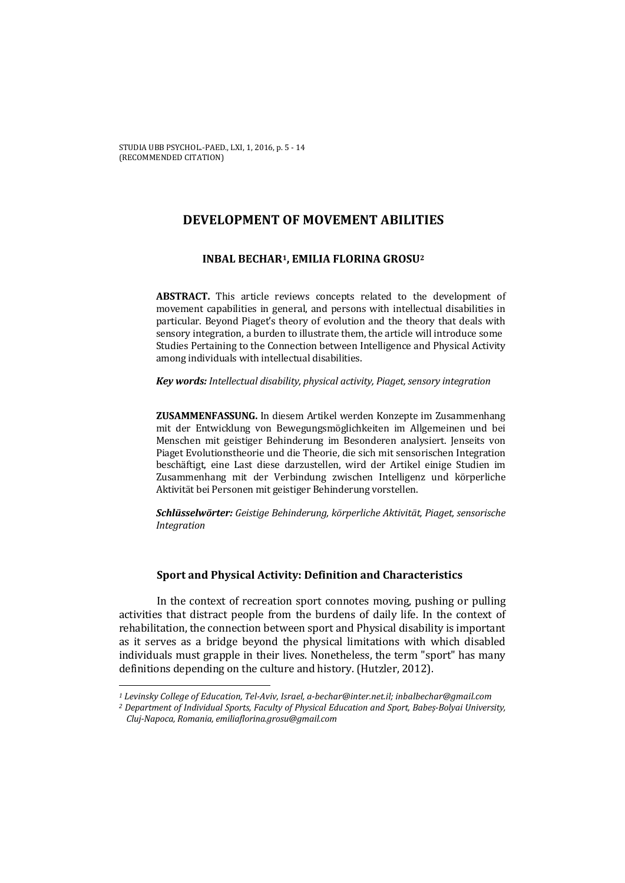STUDIA UBB PSYCHOL.-PAED., LXI, 1, 2016, p. 5 - 14 (RECOMMENDED CITATION)

# **DEVELOPMENT OF MOVEMENT ABILITIES**

## **INBAL BECHAR1, EMILIA FLORINA GROSU2**

**ABSTRACT.** This article reviews concepts related to the development of movement capabilities in general, and persons with intellectual disabilities in particular. Beyond Piaget's theory of evolution and the theory that deals with sensory integration, a burden to illustrate them, the article will introduce some Studies Pertaining to the Connection between Intelligence and Physical Activity among individuals with intellectual disabilities.

### *Key words: Intellectual disability, physical activity, Piaget, sensory integration*

**ZUSAMMENFASSUNG.** In diesem Artikel werden Konzepte im Zusammenhang mit der Entwicklung von Bewegungsmöglichkeiten im Allgemeinen und bei Menschen mit geistiger Behinderung im Besonderen analysiert. Jenseits von Piaget Evolutionstheorie und die Theorie, die sich mit sensorischen Integration beschäftigt, eine Last diese darzustellen, wird der Artikel einige Studien im Zusammenhang mit der Verbindung zwischen Intelligenz und körperliche Aktivität bei Personen mit geistiger Behinderung vorstellen.

*Schlüsselwörter: Geistige Behinderung, körperliche Aktivität, Piaget, sensorische Integration* 

## **Sport and Physical Activity: Definition and Characteristics**

In the context of recreation sport connotes moving, pushing or pulling activities that distract people from the burdens of daily life. In the context of rehabilitation, the connection between sport and Physical disability is important as it serves as a bridge beyond the physical limitations with which disabled individuals must grapple in their lives. Nonetheless, the term "sport" has many definitions depending on the culture and history. (Hutzler, 2012).

 $\overline{\phantom{0}}$ 

*<sup>1</sup> Levinsky College of Education, Tel-Aviv, Israel, a-bechar@inter.net.il; inbalbechar@gmail.com*

*<sup>2</sup> Department of Individual Sports, Faculty of Physical Education and Sport, Babeș-Bolyai University, Cluj-Napoca, Romania, emiliaflorina.grosu@gmail.com*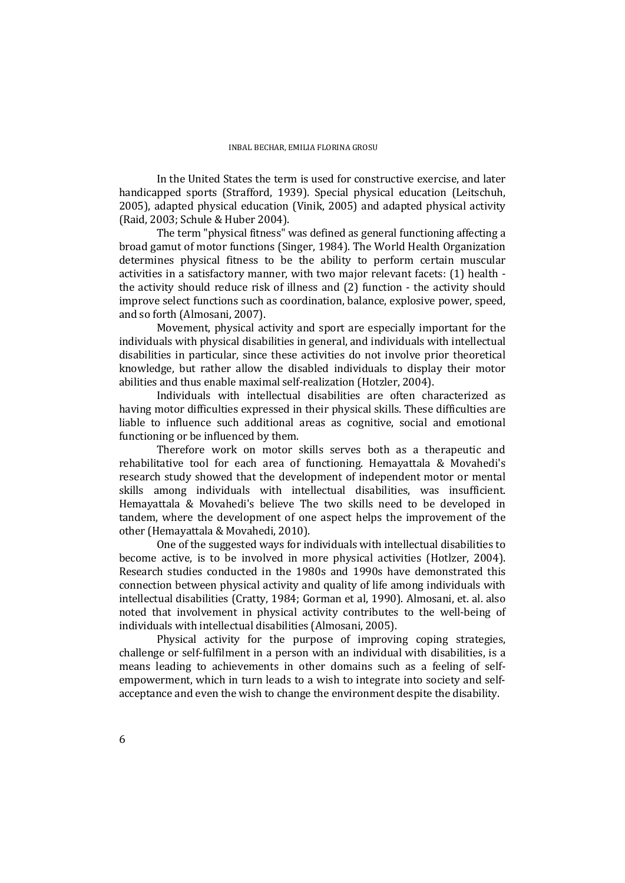In the United States the term is used for constructive exercise, and later handicapped sports (Strafford, 1939). Special physical education (Leitschuh, 2005), adapted physical education (Vinik, 2005) and adapted physical activity (Raid, 2003; Schule & Huber 2004).

The term "physical fitness" was defined as general functioning affecting a broad gamut of motor functions (Singer, 1984). The World Health Organization determines physical fitness to be the ability to perform certain muscular activities in a satisfactory manner, with two major relevant facets: (1) health the activity should reduce risk of illness and (2) function - the activity should improve select functions such as coordination, balance, explosive power, speed, and so forth (Almosani, 2007).

Movement, physical activity and sport are especially important for the individuals with physical disabilities in general, and individuals with intellectual disabilities in particular, since these activities do not involve prior theoretical knowledge, but rather allow the disabled individuals to display their motor abilities and thus enable maximal self-realization (Hotzler, 2004).

Individuals with intellectual disabilities are often characterized as having motor difficulties expressed in their physical skills. These difficulties are liable to influence such additional areas as cognitive, social and emotional functioning or be influenced by them.

Therefore work on motor skills serves both as a therapeutic and rehabilitative tool for each area of functioning. Hemayattala & Movahedi's research study showed that the development of independent motor or mental skills among individuals with intellectual disabilities, was insufficient. Hemayattala & Movahedi's believe The two skills need to be developed in tandem, where the development of one aspect helps the improvement of the other (Hemayattala & Movahedi, 2010).

One of the suggested ways for individuals with intellectual disabilities to become active, is to be involved in more physical activities (Hotlzer, 2004). Research studies conducted in the 1980s and 1990s have demonstrated this connection between physical activity and quality of life among individuals with intellectual disabilities (Cratty, 1984; Gorman et al, 1990). Almosani, et. al. also noted that involvement in physical activity contributes to the well-being of individuals with intellectual disabilities (Almosani, 2005).

Physical activity for the purpose of improving coping strategies, challenge or self-fulfilment in a person with an individual with disabilities, is a means leading to achievements in other domains such as a feeling of selfempowerment, which in turn leads to a wish to integrate into society and selfacceptance and even the wish to change the environment despite the disability.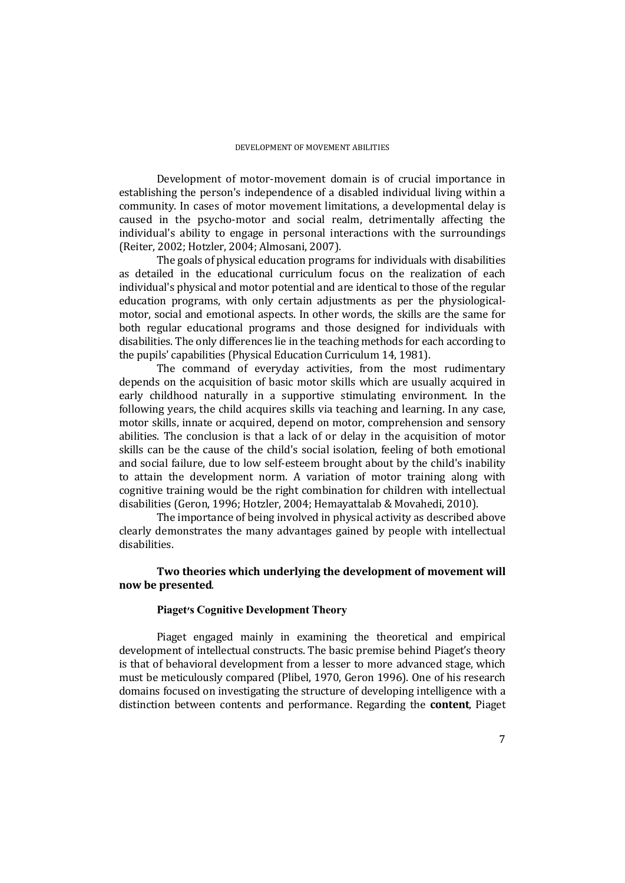Development of motor-movement domain is of crucial importance in establishing the person's independence of a disabled individual living within a community. In cases of motor movement limitations, a developmental delay is caused in the psycho-motor and social realm, detrimentally affecting the individual's ability to engage in personal interactions with the surroundings (Reiter, 2002; Hotzler, 2004; Almosani, 2007).

The goals of physical education programs for individuals with disabilities as detailed in the educational curriculum focus on the realization of each individual's physical and motor potential and are identical to those of the regular education programs, with only certain adjustments as per the physiologicalmotor, social and emotional aspects. In other words, the skills are the same for both regular educational programs and those designed for individuals with disabilities. The only differences lie in the teaching methods for each according to the pupils' capabilities (Physical Education Curriculum 14, 1981).

The command of everyday activities, from the most rudimentary depends on the acquisition of basic motor skills which are usually acquired in early childhood naturally in a supportive stimulating environment. In the following years, the child acquires skills via teaching and learning. In any case, motor skills, innate or acquired, depend on motor, comprehension and sensory abilities. The conclusion is that a lack of or delay in the acquisition of motor skills can be the cause of the child's social isolation, feeling of both emotional and social failure, due to low self-esteem brought about by the child's inability to attain the development norm. A variation of motor training along with cognitive training would be the right combination for children with intellectual disabilities (Geron, 1996; Hotzler, 2004; Hemayattalab & Movahedi, 2010).

The importance of being involved in physical activity as described above clearly demonstrates the many advantages gained by people with intellectual disabilities.

## **Two theories which underlying the development of movement will now be presented**.

## **Piaget's Cognitive Development Theory**

Piaget engaged mainly in examining the theoretical and empirical development of intellectual constructs. The basic premise behind Piaget's theory is that of behavioral development from a lesser to more advanced stage, which must be meticulously compared (Plibel, 1970, Geron 1996). One of his research domains focused on investigating the structure of developing intelligence with a distinction between contents and performance. Regarding the **content**, Piaget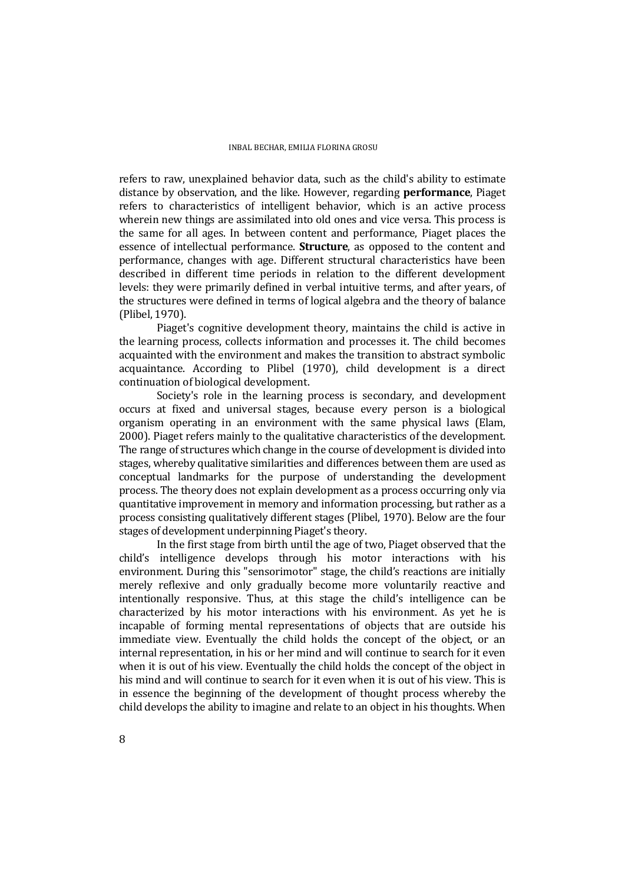refers to raw, unexplained behavior data, such as the child's ability to estimate distance by observation, and the like. However, regarding **performance**, Piaget refers to characteristics of intelligent behavior, which is an active process wherein new things are assimilated into old ones and vice versa. This process is the same for all ages. In between content and performance, Piaget places the essence of intellectual performance. **Structure**, as opposed to the content and performance, changes with age. Different structural characteristics have been described in different time periods in relation to the different development levels: they were primarily defined in verbal intuitive terms, and after years, of the structures were defined in terms of logical algebra and the theory of balance (Plibel, 1970).

Piaget's cognitive development theory, maintains the child is active in the learning process, collects information and processes it. The child becomes acquainted with the environment and makes the transition to abstract symbolic acquaintance. According to Plibel (1970), child development is a direct continuation of biological development.

Society's role in the learning process is secondary, and development occurs at fixed and universal stages, because every person is a biological organism operating in an environment with the same physical laws (Elam, 2000). Piaget refers mainly to the qualitative characteristics of the development. The range of structures which change in the course of development is divided into stages, whereby qualitative similarities and differences between them are used as conceptual landmarks for the purpose of understanding the development process. The theory does not explain development as a process occurring only via quantitative improvement in memory and information processing, but rather as a process consisting qualitatively different stages (Plibel, 1970). Below are the four stages of development underpinning Piaget's theory.

In the first stage from birth until the age of two, Piaget observed that the child's intelligence develops through his motor interactions with his environment. During this "sensorimotor" stage, the child's reactions are initially merely reflexive and only gradually become more voluntarily reactive and intentionally responsive. Thus, at this stage the child's intelligence can be characterized by his motor interactions with his environment. As yet he is incapable of forming mental representations of objects that are outside his immediate view. Eventually the child holds the concept of the object, or an internal representation, in his or her mind and will continue to search for it even when it is out of his view. Eventually the child holds the concept of the object in his mind and will continue to search for it even when it is out of his view. This is in essence the beginning of the development of thought process whereby the child develops the ability to imagine and relate to an object in his thoughts. When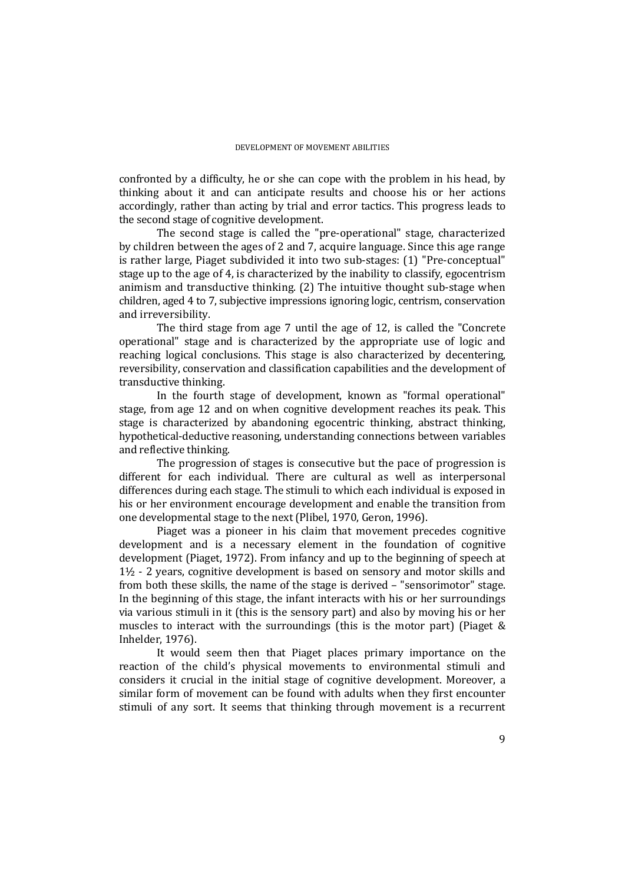confronted by a difficulty, he or she can cope with the problem in his head, by thinking about it and can anticipate results and choose his or her actions accordingly, rather than acting by trial and error tactics. This progress leads to the second stage of cognitive development.

The second stage is called the "pre-operational" stage, characterized by children between the ages of 2 and 7, acquire language. Since this age range is rather large, Piaget subdivided it into two sub-stages: (1) "Pre-conceptual" stage up to the age of 4, is characterized by the inability to classify, egocentrism animism and transductive thinking. (2) The intuitive thought sub-stage when children, aged 4 to 7, subjective impressions ignoring logic, centrism, conservation and irreversibility.

The third stage from age 7 until the age of 12, is called the "Concrete operational" stage and is characterized by the appropriate use of logic and reaching logical conclusions. This stage is also characterized by decentering, reversibility, conservation and classification capabilities and the development of transductive thinking.

In the fourth stage of development, known as "formal operational" stage, from age 12 and on when cognitive development reaches its peak. This stage is characterized by abandoning egocentric thinking, abstract thinking, hypothetical-deductive reasoning, understanding connections between variables and reflective thinking.

The progression of stages is consecutive but the pace of progression is different for each individual. There are cultural as well as interpersonal differences during each stage. The stimuli to which each individual is exposed in his or her environment encourage development and enable the transition from one developmental stage to the next (Plibel, 1970, Geron, 1996).

Piaget was a pioneer in his claim that movement precedes cognitive development and is a necessary element in the foundation of cognitive development (Piaget, 1972). From infancy and up to the beginning of speech at 1½ - 2 years, cognitive development is based on sensory and motor skills and from both these skills, the name of the stage is derived – "sensorimotor" stage. In the beginning of this stage, the infant interacts with his or her surroundings via various stimuli in it (this is the sensory part) and also by moving his or her muscles to interact with the surroundings (this is the motor part) (Piaget & Inhelder, 1976).

It would seem then that Piaget places primary importance on the reaction of the child's physical movements to environmental stimuli and considers it crucial in the initial stage of cognitive development. Moreover, a similar form of movement can be found with adults when they first encounter stimuli of any sort. It seems that thinking through movement is a recurrent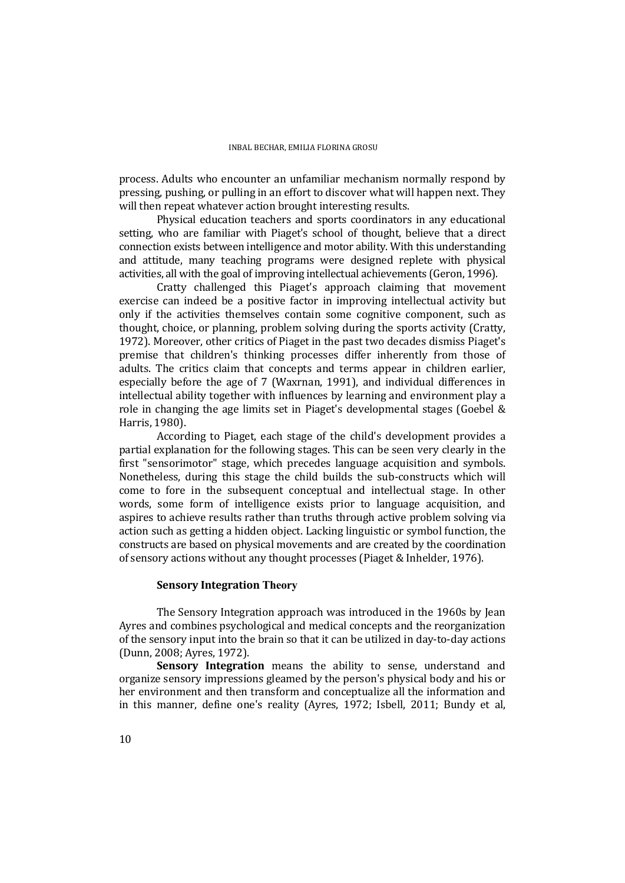process. Adults who encounter an unfamiliar mechanism normally respond by pressing, pushing, or pulling in an effort to discover what will happen next. They will then repeat whatever action brought interesting results.

Physical education teachers and sports coordinators in any educational setting, who are familiar with Piaget's school of thought, believe that a direct connection exists between intelligence and motor ability. With this understanding and attitude, many teaching programs were designed replete with physical activities, all with the goal of improving intellectual achievements (Geron, 1996).

Cratty challenged this Piaget's approach claiming that movement exercise can indeed be a positive factor in improving intellectual activity but only if the activities themselves contain some cognitive component, such as thought, choice, or planning, problem solving during the sports activity (Cratty, 1972). Moreover, other critics of Piaget in the past two decades dismiss Piaget's premise that children's thinking processes differ inherently from those of adults. The critics claim that concepts and terms appear in children earlier, especially before the age of 7 (Waxrnan, 1991), and individual differences in intellectual ability together with influences by learning and environment play a role in changing the age limits set in Piaget's developmental stages (Goebel & Harris, 1980).

According to Piaget, each stage of the child's development provides a partial explanation for the following stages. This can be seen very clearly in the first "sensorimotor" stage, which precedes language acquisition and symbols. Nonetheless, during this stage the child builds the sub-constructs which will come to fore in the subsequent conceptual and intellectual stage. In other words, some form of intelligence exists prior to language acquisition, and aspires to achieve results rather than truths through active problem solving via action such as getting a hidden object. Lacking linguistic or symbol function, the constructs are based on physical movements and are created by the coordination of sensory actions without any thought processes (Piaget & Inhelder, 1976).

### **Sensory Integration Theory**

The Sensory Integration approach was introduced in the 1960s by Jean Ayres and combines psychological and medical concepts and the reorganization of the sensory input into the brain so that it can be utilized in day-to-day actions (Dunn, 2008; Ayres, 1972).

**Sensory Integration** means the ability to sense, understand and organize sensory impressions gleamed by the person's physical body and his or her environment and then transform and conceptualize all the information and in this manner, define one's reality (Ayres, 1972; Isbell, 2011; Bundy et al,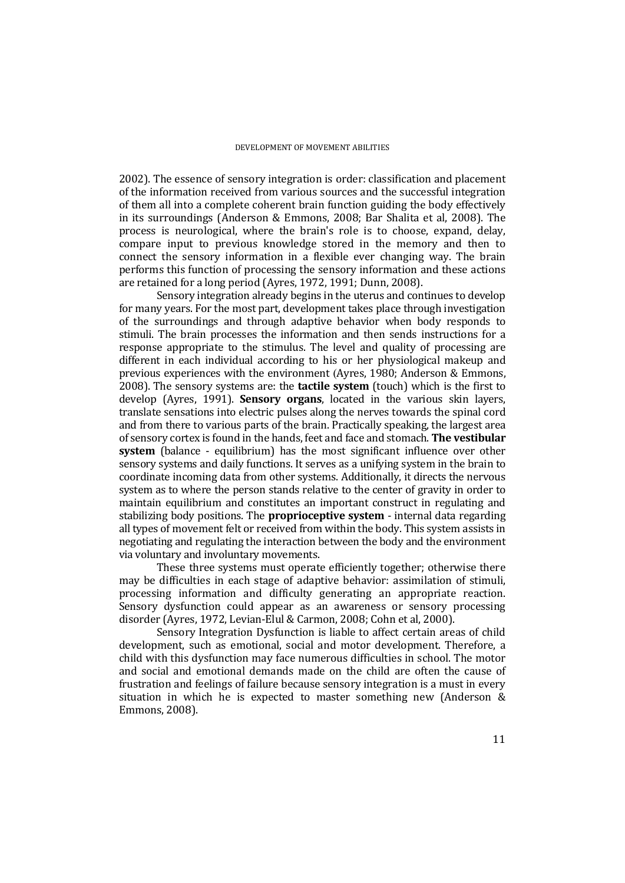2002). The essence of sensory integration is order: classification and placement of the information received from various sources and the successful integration of them all into a complete coherent brain function guiding the body effectively in its surroundings (Anderson & Emmons, 2008; Bar Shalita et al, 2008). The process is neurological, where the brain's role is to choose, expand, delay, compare input to previous knowledge stored in the memory and then to connect the sensory information in a flexible ever changing way. The brain performs this function of processing the sensory information and these actions are retained for a long period (Ayres, 1972, 1991; Dunn, 2008).

Sensory integration already begins in the uterus and continues to develop for many years. For the most part, development takes place through investigation of the surroundings and through adaptive behavior when body responds to stimuli. The brain processes the information and then sends instructions for a response appropriate to the stimulus. The level and quality of processing are different in each individual according to his or her physiological makeup and previous experiences with the environment (Ayres, 1980; Anderson & Emmons, 2008). The sensory systems are: the **tactile system** (touch) which is the first to develop (Ayres, 1991). **Sensory organs**, located in the various skin layers, translate sensations into electric pulses along the nerves towards the spinal cord and from there to various parts of the brain. Practically speaking, the largest area of sensory cortex is found in the hands, feet and face and stomach. **The vestibular system** (balance - equilibrium) has the most significant influence over other sensory systems and daily functions. It serves as a unifying system in the brain to coordinate incoming data from other systems. Additionally, it directs the nervous system as to where the person stands relative to the center of gravity in order to maintain equilibrium and constitutes an important construct in regulating and stabilizing body positions. The **proprioceptive system** - internal data regarding all types of movement felt or received from within the body. This system assists in negotiating and regulating the interaction between the body and the environment via voluntary and involuntary movements.

These three systems must operate efficiently together; otherwise there may be difficulties in each stage of adaptive behavior: assimilation of stimuli, processing information and difficulty generating an appropriate reaction. Sensory dysfunction could appear as an awareness or sensory processing disorder (Ayres, 1972, Levian-Elul & Carmon, 2008; Cohn et al, 2000).

Sensory Integration Dysfunction is liable to affect certain areas of child development, such as emotional, social and motor development. Therefore, a child with this dysfunction may face numerous difficulties in school. The motor and social and emotional demands made on the child are often the cause of frustration and feelings of failure because sensory integration is a must in every situation in which he is expected to master something new (Anderson & Emmons, 2008).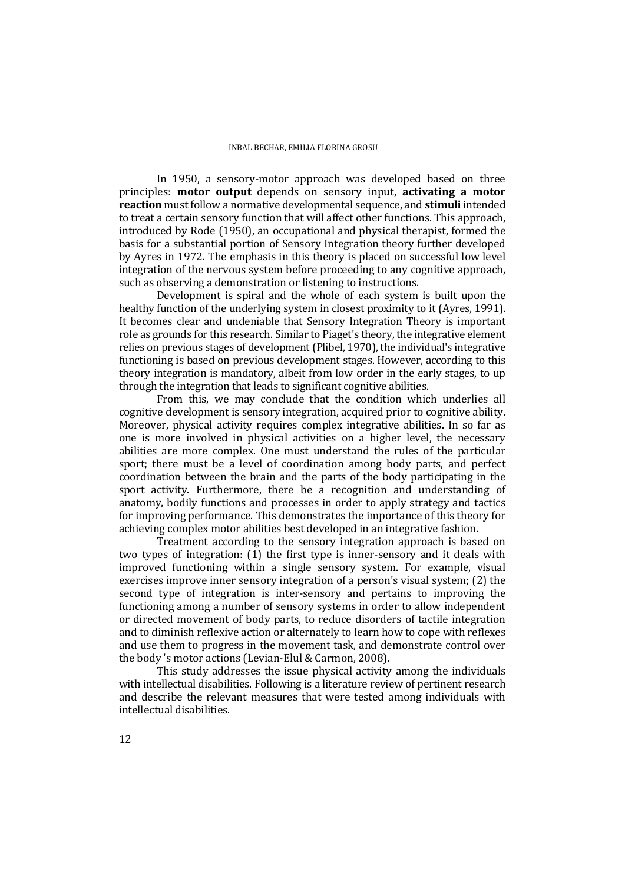In 1950, a sensory-motor approach was developed based on three principles: **motor output** depends on sensory input, **activating a motor reaction** must follow a normative developmental sequence, and **stimuli** intended to treat a certain sensory function that will affect other functions. This approach, introduced by Rode (1950), an occupational and physical therapist, formed the basis for a substantial portion of Sensory Integration theory further developed by Ayres in 1972. The emphasis in this theory is placed on successful low level integration of the nervous system before proceeding to any cognitive approach, such as observing a demonstration or listening to instructions.

Development is spiral and the whole of each system is built upon the healthy function of the underlying system in closest proximity to it (Ayres, 1991). It becomes clear and undeniable that Sensory Integration Theory is important role as grounds for this research. Similar to Piaget's theory, the integrative element relies on previous stages of development (Plibel, 1970), the individual's integrative functioning is based on previous development stages. However, according to this theory integration is mandatory, albeit from low order in the early stages, to up through the integration that leads to significant cognitive abilities.

From this, we may conclude that the condition which underlies all cognitive development is sensory integration, acquired prior to cognitive ability. Moreover, physical activity requires complex integrative abilities. In so far as one is more involved in physical activities on a higher level, the necessary abilities are more complex. One must understand the rules of the particular sport; there must be a level of coordination among body parts, and perfect coordination between the brain and the parts of the body participating in the sport activity. Furthermore, there be a recognition and understanding of anatomy, bodily functions and processes in order to apply strategy and tactics for improving performance. This demonstrates the importance of this theory for achieving complex motor abilities best developed in an integrative fashion.

Treatment according to the sensory integration approach is based on two types of integration: (1) the first type is inner-sensory and it deals with improved functioning within a single sensory system. For example, visual exercises improve inner sensory integration of a person's visual system; (2) the second type of integration is inter-sensory and pertains to improving the functioning among a number of sensory systems in order to allow independent or directed movement of body parts, to reduce disorders of tactile integration and to diminish reflexive action or alternately to learn how to cope with reflexes and use them to progress in the movement task, and demonstrate control over the body 's motor actions (Levian-Elul & Carmon, 2008).

This study addresses the issue physical activity among the individuals with intellectual disabilities. Following is a literature review of pertinent research and describe the relevant measures that were tested among individuals with intellectual disabilities.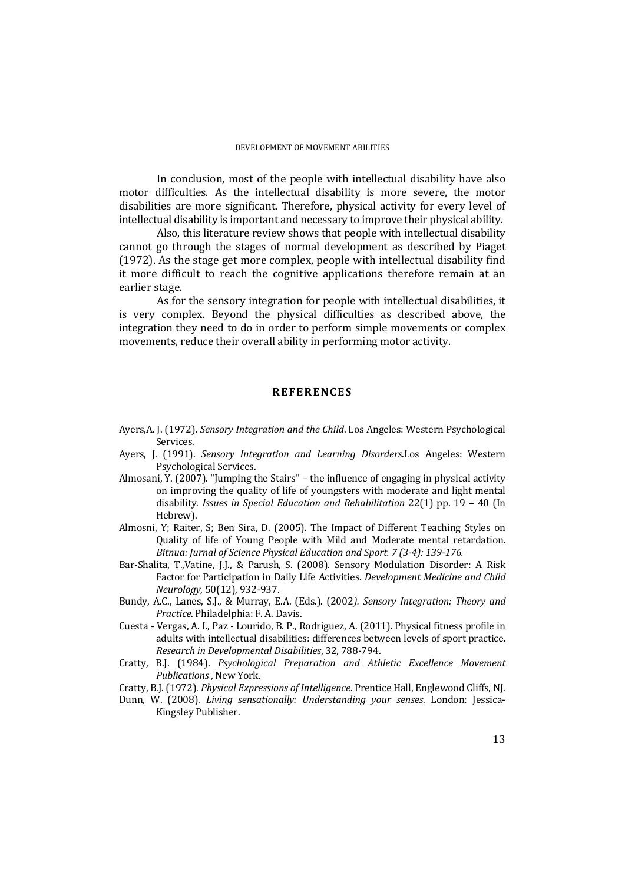In conclusion, most of the people with intellectual disability have also motor difficulties. As the intellectual disability is more severe, the motor disabilities are more significant. Therefore, physical activity for every level of intellectual disability is important and necessary to improve their physical ability.

Also, this literature review shows that people with intellectual disability cannot go through the stages of normal development as described by Piaget (1972). As the stage get more complex, people with intellectual disability find it more difficult to reach the cognitive applications therefore remain at an earlier stage.

As for the sensory integration for people with intellectual disabilities, it is very complex. Beyond the physical difficulties as described above, the integration they need to do in order to perform simple movements or complex movements, reduce their overall ability in performing motor activity.

### **REFERENCES**

- Ayers,A. J. (1972). *Sensory Integration and the Child*. Los Angeles: Western Psychological Services.
- Ayers, J. (1991). *Sensory Integration and Learning Disorders*.Los Angeles: Western Psychological Services.
- Almosani, Y. (2007). "Jumping the Stairs" the influence of engaging in physical activity on improving the quality of life of youngsters with moderate and light mental disability. *Issues in Special Education and Rehabilitation* 22(1) pp. 19 – 40 (In Hebrew).
- Almosni, Y; Raiter, S; Ben Sira, D. (2005). The Impact of Different Teaching Styles on Quality of life of Young People with Mild and Moderate mental retardation. *Bitnua: Jurnal of Science Physical Education and Sport. 7 (3-4): 139-176.*
- Bar-Shalita, T.,Vatine, J.J., & Parush, S. (2008). Sensory Modulation Disorder: A Risk Factor for Participation in Daily Life Activities. *Development Medicine and Child Neurology*, 50(12), 932-937.
- Bundy, A.C., Lanes, S.J., & Murray, E.A. (Eds.). (2002*). Sensory Integration: Theory and Practice*. Philadelphia: F. A. Davis.
- Cuesta Vergas, A. I., Paz Lourido, B. P., Rodriguez, A. (2011). Physical fitness profile in adults with intellectual disabilities: differences between levels of sport practice. *Research in Developmental Disabilities*, 32, 788-794.
- Cratty, B.J. (1984). *Psychological Preparation and Athletic Excellence Movement Publications* , New York.
- Cratty, B.J. (1972). *Physical Expressions of Intelligence*. Prentice Hall, Englewood Cliffs, NJ.
- Dunn, W. (2008). *Living sensationally: Understanding your senses*. London: Jessica-Kingsley Publisher.